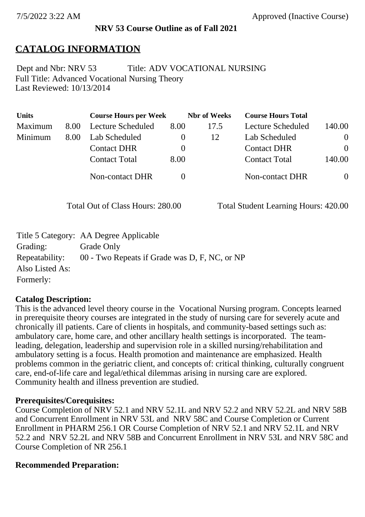#### **NRV 53 Course Outline as of Fall 2021**

# **CATALOG INFORMATION**

Full Title: Advanced Vocational Nursing Theory Last Reviewed: 10/13/2014 Dept and Nbr: NRV 53 Title: ADV VOCATIONAL NURSING

| <b>Units</b> |      | <b>Course Hours per Week</b> |          | <b>Nbr</b> of Weeks | <b>Course Hours Total</b> |          |
|--------------|------|------------------------------|----------|---------------------|---------------------------|----------|
| Maximum      | 8.00 | <b>Lecture Scheduled</b>     | 8.00     | 17.5                | Lecture Scheduled         | 140.00   |
| Minimum      | 8.00 | Lab Scheduled                | $\bf{0}$ | 12                  | Lab Scheduled             | $\theta$ |
|              |      | <b>Contact DHR</b>           | $\theta$ |                     | <b>Contact DHR</b>        | $\Omega$ |
|              |      | <b>Contact Total</b>         | 8.00     |                     | <b>Contact Total</b>      | 140.00   |
|              |      | Non-contact DHR              |          |                     | <b>Non-contact DHR</b>    | $\theta$ |

Total Out of Class Hours: 280.00 Total Student Learning Hours: 420.00

|                 | Title 5 Category: AA Degree Applicable        |
|-----------------|-----------------------------------------------|
| Grading:        | Grade Only                                    |
| Repeatability:  | 00 - Two Repeats if Grade was D, F, NC, or NP |
| Also Listed As: |                                               |
| Formerly:       |                                               |

### **Catalog Description:**

This is the advanced level theory course in the Vocational Nursing program. Concepts learned in prerequisite theory courses are integrated in the study of nursing care for severely acute and chronically ill patients. Care of clients in hospitals, and community-based settings such as: ambulatory care, home care, and other ancillary health settings is incorporated. The teamleading, delegation, leadership and supervision role in a skilled nursing/rehabilitation and ambulatory setting is a focus. Health promotion and maintenance are emphasized. Health problems common in the geriatric client, and concepts of: critical thinking, culturally congruent care, end-of-life care and legal/ethical dilemmas arising in nursing care are explored. Community health and illness prevention are studied.

#### **Prerequisites/Corequisites:**

Course Completion of NRV 52.1 and NRV 52.1L and NRV 52.2 and NRV 52.2L and NRV 58B and Concurrent Enrollment in NRV 53L and NRV 58C and Course Completion or Current Enrollment in PHARM 256.1 OR Course Completion of NRV 52.1 and NRV 52.1L and NRV 52.2 and NRV 52.2L and NRV 58B and Concurrent Enrollment in NRV 53L and NRV 58C and Course Completion of NR 256.1

### **Recommended Preparation:**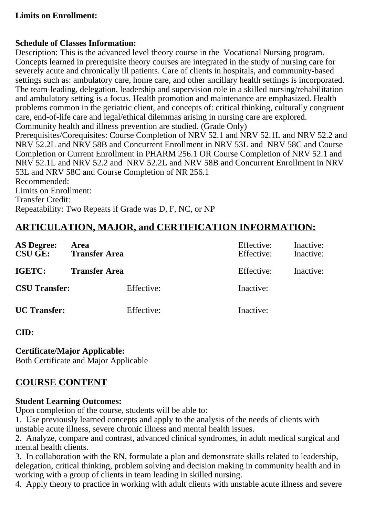### **Limits on Enrollment:**

#### **Schedule of Classes Information:**

Description: This is the advanced level theory course in the Vocational Nursing program. Concepts learned in prerequisite theory courses are integrated in the study of nursing care for severely acute and chronically ill patients. Care of clients in hospitals, and community-based settings such as: ambulatory care, home care, and other ancillary health settings is incorporated. The team-leading, delegation, leadership and supervision role in a skilled nursing/rehabilitation and ambulatory setting is a focus. Health promotion and maintenance are emphasized. Health problems common in the geriatric client, and concepts of: critical thinking, culturally congruent care, end-of-life care and legal/ethical dilemmas arising in nursing care are explored. Community health and illness prevention are studied. (Grade Only) Prerequisites/Corequisites: Course Completion of NRV 52.1 and NRV 52.1L and NRV 52.2 and NRV 52.2L and NRV 58B and Concurrent Enrollment in NRV 53L and NRV 58C and Course Completion or Current Enrollment in PHARM 256.1 OR Course Completion of NRV 52.1 and NRV 52.1L and NRV 52.2 and NRV 52.2L and NRV 58B and Concurrent Enrollment in NRV 53L and NRV 58C and Course Completion of NR 256.1 Recommended: Limits on Enrollment: Transfer Credit:

# **ARTICULATION, MAJOR, and CERTIFICATION INFORMATION:**

Repeatability: Two Repeats if Grade was D, F, NC, or NP

| <b>AS Degree:</b><br><b>CSU GE:</b> | Area<br><b>Transfer Area</b> | Effective:<br>Effective: | Inactive:<br>Inactive: |
|-------------------------------------|------------------------------|--------------------------|------------------------|
| IGETC:                              | <b>Transfer Area</b>         | Effective:               | Inactive:              |
| <b>CSU Transfer:</b>                | Effective:                   | Inactive:                |                        |
| <b>UC</b> Transfer:                 | Effective:                   | Inactive:                |                        |

#### **CID:**

**Certificate/Major Applicable:** 

[Both Certificate and Major Applicable](SR_ClassCheck.aspx?CourseKey=NRV53)

# **COURSE CONTENT**

### **Student Learning Outcomes:**

Upon completion of the course, students will be able to:

1. Use previously learned concepts and apply to the analysis of the needs of clients with unstable acute illness, severe chronic illness and mental health issues.

2. Analyze, compare and contrast, advanced clinical syndromes, in adult medical surgical and mental health clients.

3. In collaboration with the RN, formulate a plan and demonstrate skills related to leadership, delegation, critical thinking, problem solving and decision making in community health and in working with a group of clients in team leading in skilled nursing.

4. Apply theory to practice in working with adult clients with unstable acute illness and severe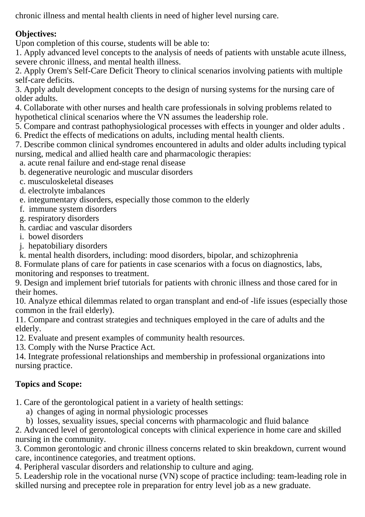chronic illness and mental health clients in need of higher level nursing care.

# **Objectives:**

Upon completion of this course, students will be able to:

1. Apply advanced level concepts to the analysis of needs of patients with unstable acute illness, severe chronic illness, and mental health illness.

2. Apply Orem's Self-Care Deficit Theory to clinical scenarios involving patients with multiple self-care deficits.

3. Apply adult development concepts to the design of nursing systems for the nursing care of older adults.

4. Collaborate with other nurses and health care professionals in solving problems related to hypothetical clinical scenarios where the VN assumes the leadership role.

5. Compare and contrast pathophysiological processes with effects in younger and older adults .

6. Predict the effects of medications on adults, including mental health clients.

7. Describe common clinical syndromes encountered in adults and older adults including typical nursing, medical and allied health care and pharmacologic therapies:

a. acute renal failure and end-stage renal disease

b. degenerative neurologic and muscular disorders

- c. musculoskeletal diseases
- d. electrolyte imbalances
- e. integumentary disorders, especially those common to the elderly
- f. immune system disorders
- g. respiratory disorders
- h. cardiac and vascular disorders
- i. bowel disorders
- j. hepatobiliary disorders

k. mental health disorders, including: mood disorders, bipolar, and schizophrenia

8. Formulate plans of care for patients in case scenarios with a focus on diagnostics, labs, monitoring and responses to treatment.

9. Design and implement brief tutorials for patients with chronic illness and those cared for in their homes.

10. Analyze ethical dilemmas related to organ transplant and end-of -life issues (especially those common in the frail elderly).

11. Compare and contrast strategies and techniques employed in the care of adults and the elderly.

12. Evaluate and present examples of community health resources.

13. Comply with the Nurse Practice Act.

14. Integrate professional relationships and membership in professional organizations into nursing practice.

# **Topics and Scope:**

1. Care of the gerontological patient in a variety of health settings:

a) changes of aging in normal physiologic processes

b) losses, sexuality issues, special concerns with pharmacologic and fluid balance

2. Advanced level of gerontological concepts with clinical experience in home care and skilled nursing in the community.

3. Common gerontologic and chronic illness concerns related to skin breakdown, current wound care, incontinence categories, and treatment options.

4. Peripheral vascular disorders and relationship to culture and aging.

5. Leadership role in the vocational nurse (VN) scope of practice including: team-leading role in skilled nursing and preceptee role in preparation for entry level job as a new graduate.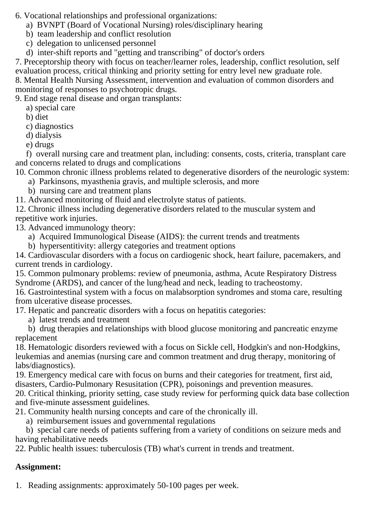6. Vocational relationships and professional organizations:

- a) BVNPT (Board of Vocational Nursing) roles/disciplinary hearing
- b) team leadership and conflict resolution
- c) delegation to unlicensed personnel
- d) inter-shift reports and "getting and transcribing" of doctor's orders

7. Preceptorship theory with focus on teacher/learner roles, leadership, conflict resolution, self evaluation process, critical thinking and priority setting for entry level new graduate role.

8. Mental Health Nursing Assessment, intervention and evaluation of common disorders and monitoring of responses to psychotropic drugs.

9. End stage renal disease and organ transplants:

a) special care

b) diet

c) diagnostics

d) dialysis

e) drugs

 f) overall nursing care and treatment plan, including: consents, costs, criteria, transplant care and concerns related to drugs and complications

10. Common chronic illness problems related to degenerative disorders of the neurologic system:

- a) Parkinsons, myasthenia gravis, and multiple sclerosis, and more
- b) nursing care and treatment plans

11. Advanced monitoring of fluid and electrolyte status of patients.

12. Chronic illness including degenerative disorders related to the muscular system and repetitive work injuries.

13. Advanced immunology theory:

a) Acquired Immunological Disease (AIDS): the current trends and treatments

b) hypersentitivity: allergy categories and treatment options

14. Cardiovascular disorders with a focus on cardiogenic shock, heart failure, pacemakers, and current trends in cardiology.

15. Common pulmonary problems: review of pneumonia, asthma, Acute Respiratory Distress Syndrome (ARDS), and cancer of the lung/head and neck, leading to tracheostomy.

16. Gastrointestinal system with a focus on malabsorption syndromes and stoma care, resulting from ulcerative disease processes.

17. Hepatic and pancreatic disorders with a focus on hepatitis categories:

a) latest trends and treatment

 b) drug therapies and relationships with blood glucose monitoring and pancreatic enzyme replacement

18. Hematologic disorders reviewed with a focus on Sickle cell, Hodgkin's and non-Hodgkins, leukemias and anemias (nursing care and common treatment and drug therapy, monitoring of labs/diagnostics).

19. Emergency medical care with focus on burns and their categories for treatment, first aid, disasters, Cardio-Pulmonary Resusitation (CPR), poisonings and prevention measures.

20. Critical thinking, priority setting, case study review for performing quick data base collection and five-minute assessment guidelines.

21. Community health nursing concepts and care of the chronically ill.

a) reimbursement issues and governmental regulations

 b) special care needs of patients suffering from a variety of conditions on seizure meds and having rehabilitative needs

22. Public health issues: tuberculosis (TB) what's current in trends and treatment.

# **Assignment:**

1. Reading assignments: approximately 50-100 pages per week.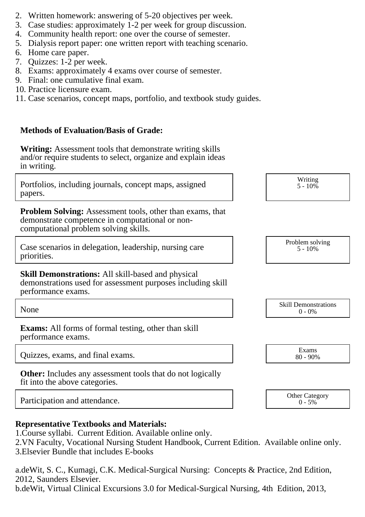- 2. Written homework: answering of 5-20 objectives per week.
- 3. Case studies: approximately 1-2 per week for group discussion.
- 4. Community health report: one over the course of semester.
- 5. Dialysis report paper: one written report with teaching scenario.
- 6. Home care paper.
- 7. Quizzes: 1-2 per week.
- 8. Exams: approximately 4 exams over course of semester.
- 9. Final: one cumulative final exam.
- 10. Practice licensure exam.
- 11. Case scenarios, concept maps, portfolio, and textbook study guides.

### **Methods of Evaluation/Basis of Grade:**

**Writing:** Assessment tools that demonstrate writing skills and/or require students to select, organize and explain ideas in writing.

| Portfolios, including journals, concept maps, assigned |  |  |  |
|--------------------------------------------------------|--|--|--|
| papers.                                                |  |  |  |

**Problem Solving:** Assessment tools, other than exams, that demonstrate competence in computational or noncomputational problem solving skills.

Case scenarios in delegation, leadership, nursing care priorities.

**Skill Demonstrations:** All skill-based and physical demonstrations used for assessment purposes including skill performance exams.

**Exams:** All forms of formal testing, other than skill performance exams.

Quizzes, exams, and final exams. Exams

**Other:** Includes any assessment tools that do not logically fit into the above categories.

Participation and attendance.  $\begin{array}{ccc}\n\text{Other Category} \\
\text{O-ty} \\
\text{O-ty}\n\end{array}$ 

## **Representative Textbooks and Materials:**

- 1. Course syllabi. Current Edition. Available online only.
- 2. VN Faculty, Vocational Nursing Student Handbook, Current Edition. Available online only.
- 3. Elsevier Bundle that includes E-books

a. deWit, S. C., Kumagi, C.K. Medical-Surgical Nursing: Concepts & Practice, 2nd Edition, 2012, Saunders Elsevier.

b. deWit, Virtual Clinical Excursions 3.0 for Medical-Surgical Nursing, 4th Edition, 2013,

| $5 - 10%$ |  |
|-----------|--|
|           |  |
|           |  |
|           |  |

|      | <b>Skill Demonstrations</b> |
|------|-----------------------------|
| None | 0%                          |

Writing  $5 - 10\%$ 

Problem solving

80 - 90%

 $0 - 5\%$